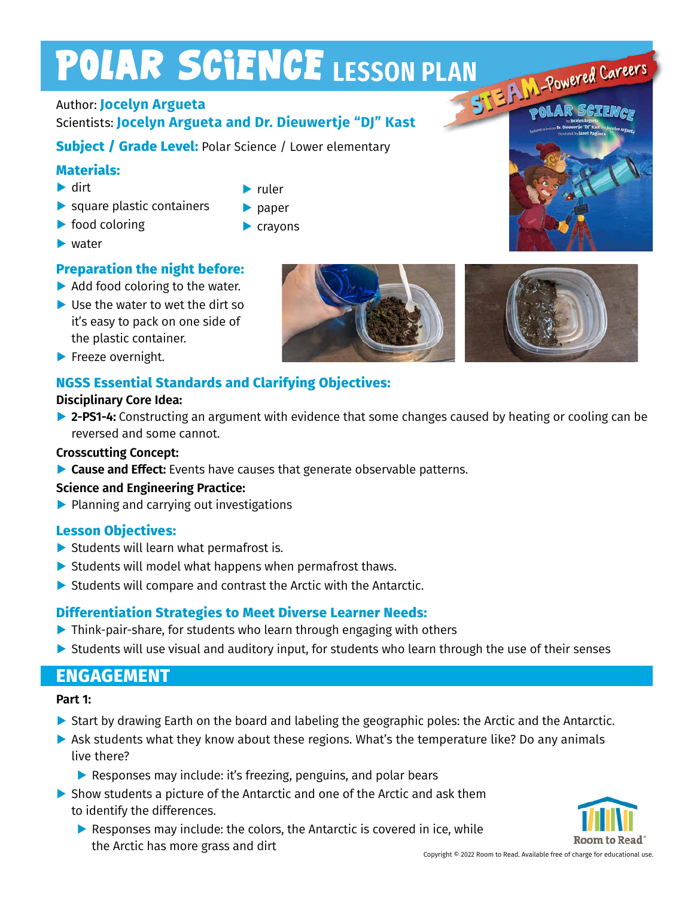# POLAR SCIENCE LESSON PLAN<br>Author: Jocelyn Argueta

**▶** ruler **▶** paper **▶** crayons

# Author: **Jocelyn Argueta**

# Scientists: **Jocelyn Argueta and Dr. Dieuwertje "DJ" Kast**

**Subject / Grade Level:** Polar Science / Lower elementary

# **Materials:**

- **▶** dirt
- **▶** square plastic containers
- **▶** food coloring
- **▶** water

# **Preparation the night before:**

- ▶ Add food coloring to the water.
- **▶** Use the water to wet the dirt so it's easy to pack on one side of the plastic container.
- **▶** Freeze overnight.

# **NGSS Essential Standards and Clarifying Objectives:**

## **Disciplinary Core Idea:**

**▶ 2-PS1-4:** Constructing an argument with evidence that some changes caused by heating or cooling can be reversed and some cannot.

## **Crosscutting Concept:**

**▶ Cause and Effect:** Events have causes that generate observable patterns.

## **Science and Engineering Practice:**

**▶** Planning and carrying out investigations

# **Lesson Objectives:**

- **▶** Students will learn what permafrost is.
- **▶** Students will model what happens when permafrost thaws.
- ▶ Students will compare and contrast the Arctic with the Antarctic.

# **Differentiation Strategies to Meet Diverse Learner Needs:**

- **▶** Think-pair-share, for students who learn through engaging with others
- ▶ Students will use visual and auditory input, for students who learn through the use of their senses

# **ENGAGEMENT**

# **Part 1:**

- ▶ Start by drawing Earth on the board and labeling the geographic poles: the Arctic and the Antarctic.
- ▶ Ask students what they know about these regions. What's the temperature like? Do any animals live there?
	- **▶** Responses may include: it's freezing, penguins, and polar bears
- ▶ Show students a picture of the Antarctic and one of the Arctic and ask them to identify the differences.
	- ▶ Responses may include: the colors, the Antarctic is covered in ice, while the Arctic has more grass and dirt and Copyright © 2022 Room to Read. Available free of charge for educational use.





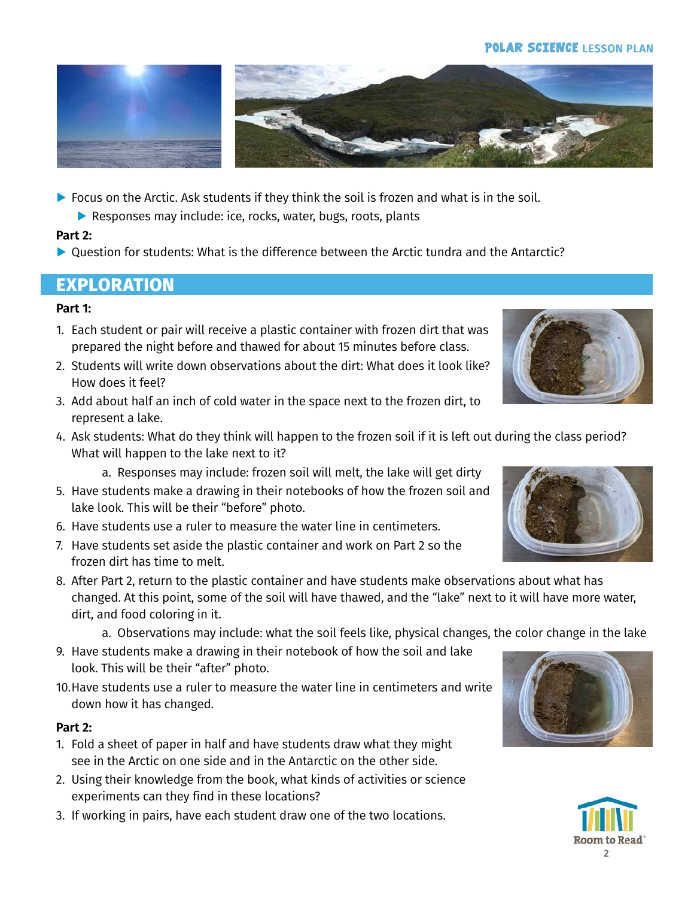#### **POLAR SCIENCE LESSON PLAN**



**▶** Focus on the Arctic. Ask students if they think the soil is frozen and what is in the soil.

**▶** Responses may include: ice, rocks, water, bugs, roots, plants

## **Part 2:**

▶ Question for students: What is the difference between the Arctic tundra and the Antarctic?

# **EXPLORATION**

## **Part 1:**

- 1. Each student or pair will receive a plastic container with frozen dirt that was prepared the night before and thawed for about 15 minutes before class.
- 2. Students will write down observations about the dirt: What does it look like? How does it feel?
- 3. Add about half an inch of cold water in the space next to the frozen dirt, to represent a lake.
- 4. Ask students: What do they think will happen to the frozen soil if it is left out during the class period? What will happen to the lake next to it?

a. Responses may include: frozen soil will melt, the lake will get dirty

- 5. Have students make a drawing in their notebooks of how the frozen soil and lake look. This will be their "before" photo.
- 6. Have students use a ruler to measure the water line in centimeters.
- 7. Have students set aside the plastic container and work on Part 2 so the frozen dirt has time to melt.
- 8. After Part 2, return to the plastic container and have students make observations about what has changed. At this point, some of the soil will have thawed, and the "lake" next to it will have more water, dirt, and food coloring in it.

a. Observations may include: what the soil feels like, physical changes, the color change in the lake

- 9. Have students make a drawing in their notebook of how the soil and lake look. This will be their "after" photo.
- 10.Have students use a ruler to measure the water line in centimeters and write down how it has changed.

## **Part 2:**

- 1. Fold a sheet of paper in half and have students draw what they might see in the Arctic on one side and in the Antarctic on the other side.
- 2. Using their knowledge from the book, what kinds of activities or science experiments can they find in these locations?
- 3. If working in pairs, have each student draw one of the two locations.